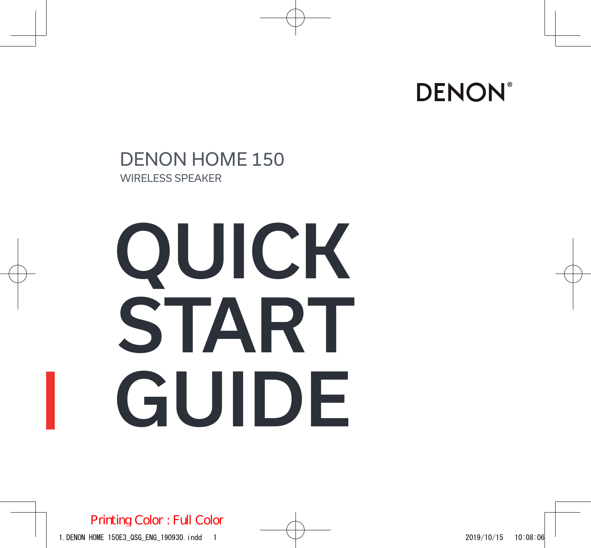

### DENON HOME 150 WIRELESS SPEAKER

# QUICK START GUIDE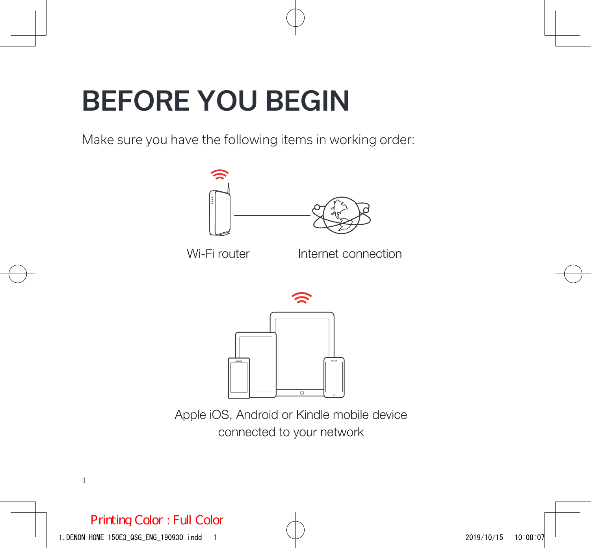### BEFORE YOU BEGIN

Make sure you have the following items in working order:



Apple iOS, Android or Kindle mobile device connected to your network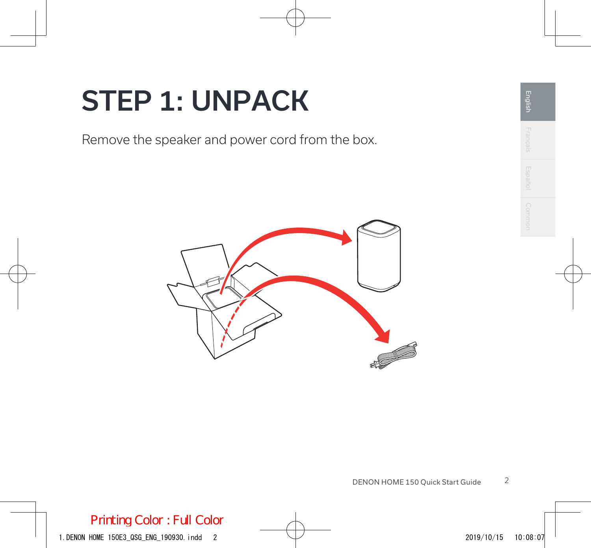### STEP 1: UNPACK

Remove the speaker and power cord from the box.

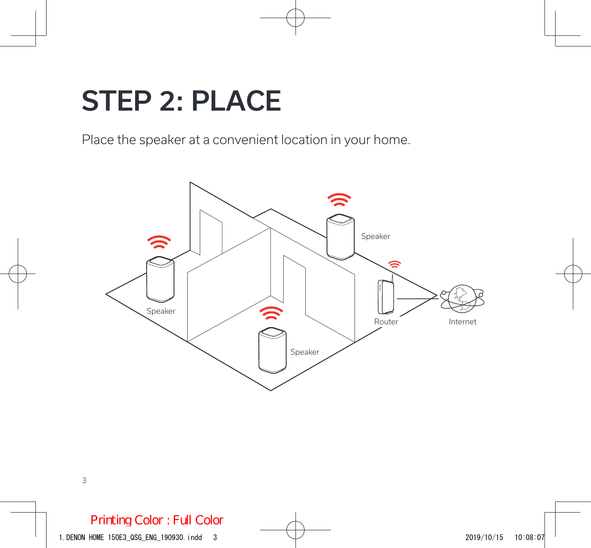### STEP 2: PLACE

Place the speaker at a convenient location in your home.

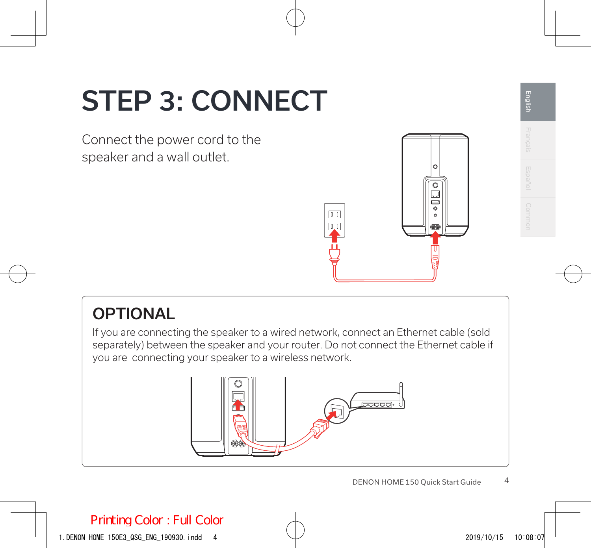# STEP 3: CONNECT

Connect the power cord to the speaker and a wall outlet.



### **OPTIONAL**

If you are connecting the speaker to a wired network, connect an Ethernet cable (sold separately) between the speaker and your router. Do not connect the Ethernet cable if you are connecting your speaker to a wireless network.

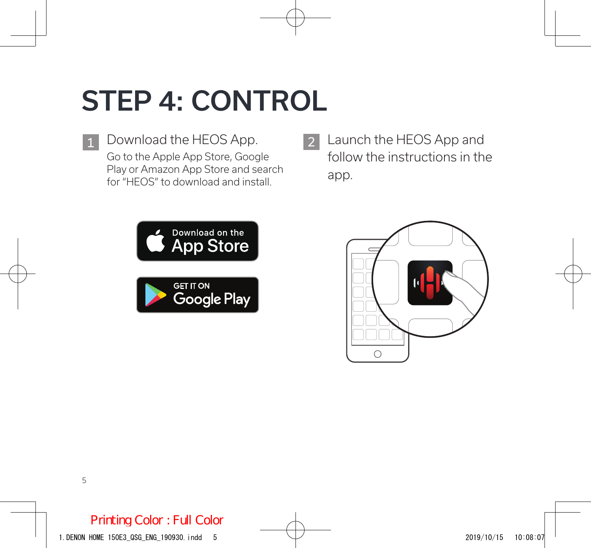# STEP 4: CONTROL

1 Download the HEOS App. 2 Go to the Apple App Store, Google Play or Amazon App Store and search for "HEOS" to download and install.

Launch the HEOS App and follow the instructions in the app.



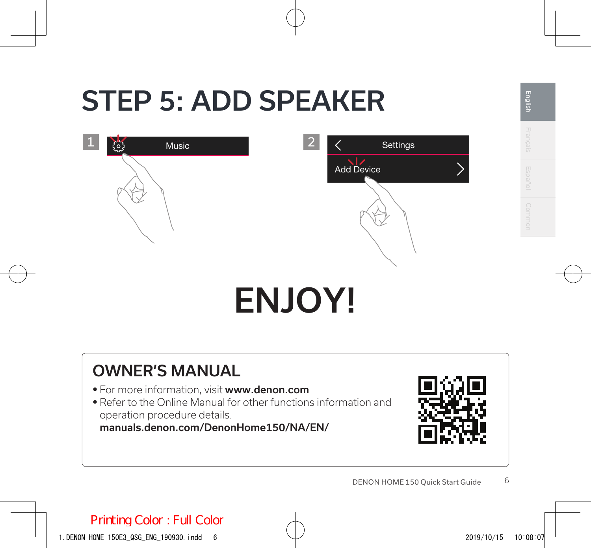### STEP 5: ADD SPEAKER



# ENJOY!

### OWNER'S MANUAL

- For more information, visit www.denon.com
- Refer to the Online Manual for other functions information and operation procedure details.

manuals.denon.com/DenonHome150/NA/EN/



**English** Français Español Common

English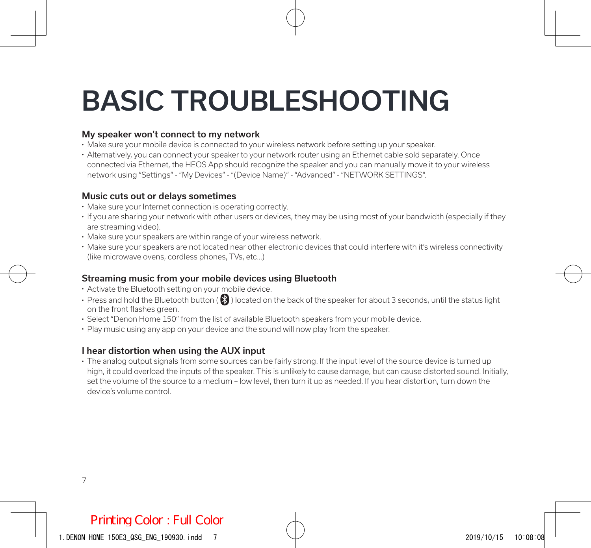# BASIC TROUBLESHOOTING

#### My speaker won't connect to my network

- Make sure your mobile device is connected to your wireless network before setting up your speaker.
- Alternatively, you can connect your speaker to your network router using an Ethernet cable sold separately. Once connected via Ethernet, the HEOS App should recognize the speaker and you can manually move it to your wireless network using "Settings" - "My Devices" - "(Device Name)" - "Advanced" - "NETWORK SETTINGS".

#### Music cuts out or delays sometimes

- Make sure your Internet connection is operating correctly.
- If you are sharing your network with other users or devices, they may be using most of your bandwidth (especially if they are streaming video).
- Make sure your speakers are within range of your wireless network.
- Make sure your speakers are not located near other electronic devices that could interfere with it's wireless connectivity (like microwave ovens, cordless phones, TVs, etc…)

#### Streaming music from your mobile devices using Bluetooth

- Activate the Bluetooth setting on your mobile device.
- Press and hold the Bluetooth button ( $\bigcirc$ ) located on the back of the speaker for about 3 seconds, until the status light on the front flashes green.
- Select "Denon Home 150" from the list of available Bluetooth speakers from your mobile device.
- Play music using any app on your device and the sound will now play from the speaker.

#### I hear distortion when using the AUX input

• The analog output signals from some sources can be fairly strong. If the input level of the source device is turned up high, it could overload the inputs of the speaker. This is unlikely to cause damage, but can cause distorted sound. Initially, set the volume of the source to a medium – low level, then turn it up as needed. If you hear distortion, turn down the device's volume control.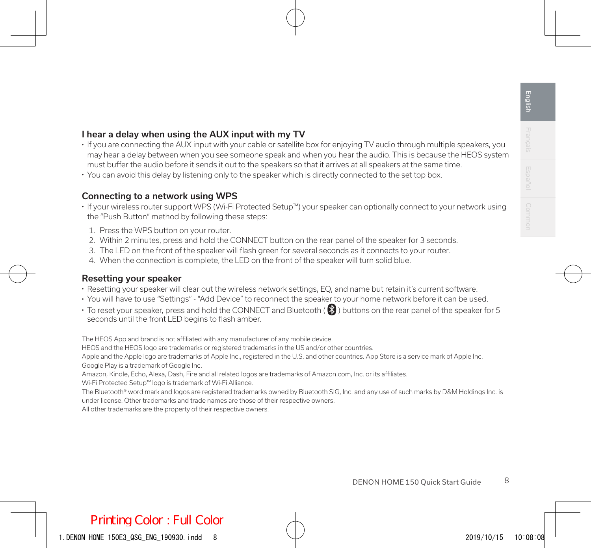#### I hear a delay when using the AUX input with my TV

- If you are connecting the AUX input with your cable or satellite box for enjoying TV audio through multiple speakers, you may hear a delay between when you see someone speak and when you hear the audio. This is because the HEOS system must buffer the audio before it sends it out to the speakers so that it arrives at all speakers at the same time.
- You can avoid this delay by listening only to the speaker which is directly connected to the set top box.

#### Connecting to a network using WPS

- If your wireless router support WPS (Wi-Fi Protected Setup™) your speaker can optionally connect to your network using the "Push Button" method by following these steps:
	- 1. Press the WPS button on your router.
	- 2. Within 2 minutes, press and hold the CONNECT button on the rear panel of the speaker for 3 seconds.
	- 3. The LED on the front of the speaker will flash green for several seconds as it connects to your router.
	- 4. When the connection is complete, the LED on the front of the speaker will turn solid blue.

#### Resetting your speaker

- Resetting your speaker will clear out the wireless network settings, EQ, and name but retain it's current software.
- You will have to use "Settings" "Add Device" to reconnect the speaker to your home network before it can be used.
- To reset your speaker, press and hold the CONNECT and Bluetooth ( $\bigcirc$ ) buttons on the rear panel of the speaker for 5 seconds until the front LED begins to flash amber.

The HEOS App and brand is not affiliated with any manufacturer of any mobile device.

HEOS and the HEOS logo are trademarks or registered trademarks in the US and/or other countries.

Apple and the Apple logo are trademarks of Apple Inc., registered in the U.S. and other countries. App Store is a service mark of Apple Inc. Google Play is a trademark of Google Inc.

Amazon, Kindle, Echo, Alexa, Dash, Fire and all related logos are trademarks of Amazon.com, Inc. or its affiliates.

Wi-Fi Protected Setup™ logo is trademark of Wi-Fi Alliance.

The Bluetooth® word mark and logos are registered trademarks owned by Bluetooth SIG, Inc. and any use of such marks by D&M Holdings Inc. is under license. Other trademarks and trade names are those of their respective owners.

All other trademarks are the property of their respective owners.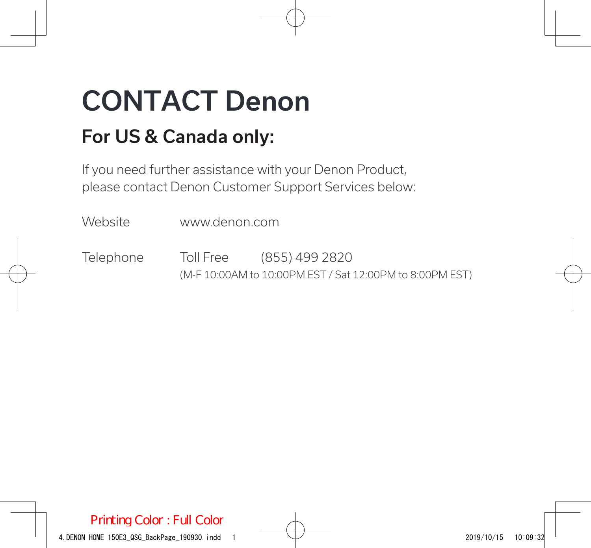# CONTACT Denon

### For US & Canada only:

If you need further assistance with your Denon Product, please contact Denon Customer Support Services below:

Website www.denon.com

Telephone Toll Free (855) 499 2820 (M-F 10:00AM to 10:00PM EST / Sat 12:00PM to 8:00PM EST)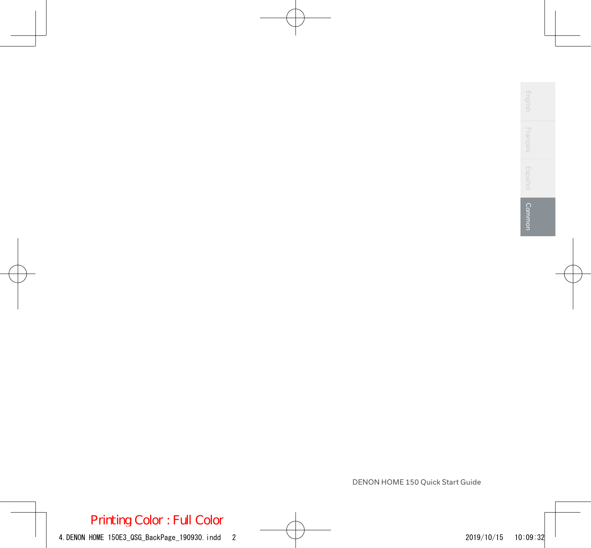| $\frac{1}{2} \left( \frac{1}{2} \right) \left( \frac{1}{2} \right) \left( \frac{1}{2} \right) \left( \frac{1}{2} \right)$<br>m<br>-<br>4<br>-<br>u<br>$\equiv$<br>$\overline{\phantom{a}}$<br>m<br>-<br>2 |   |
|-----------------------------------------------------------------------------------------------------------------------------------------------------------------------------------------------------------|---|
| m<br>÷<br>Ωj<br>-<br>4<br>o<br>Ωí<br>=<br>ΰñ                                                                                                                                                              |   |
| -<br>m<br>in<br>-<br>o<br>ω<br>-<br>r<br>4<br>ź<br>٠                                                                                                                                                      |   |
| ١<br>ı,<br>é<br>p<br>l esi<br>⊵<br>۱<br>u<br>н<br>∊<br>u<br>ь<br>c<br>ö<br>⊵<br>m                                                                                                                         | ı |

Г

DENON HOME 150 Quick Start Guide